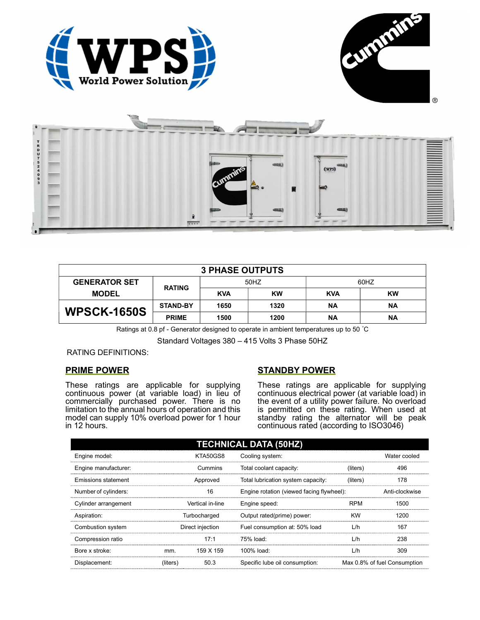





| <b>3 PHASE OUTPUTS</b> |                 |            |      |            |           |  |
|------------------------|-----------------|------------|------|------------|-----------|--|
| <b>GENERATOR SET</b>   | <b>RATING</b>   | 50HZ       |      | 60HZ       |           |  |
| <b>MODEL</b>           |                 | <b>KVA</b> | KW   | <b>KVA</b> | <b>KW</b> |  |
| <b>WPSCK-1650S</b>     | <b>STAND-BY</b> | 1650       | 1320 | ΝA         | <b>NA</b> |  |
|                        | <b>PRIME</b>    | 1500       | 1200 | ΝA         | <b>NA</b> |  |

Ratings at 0.8 pf - Generator designed to operate in ambient temperatures up to 50 °C

Standard Voltages 380 – 415 Volts 3 Phase 50HZ

RATING DEFINITIONS:

## PRIME POWER

These ratings are applicable for supplying continuous power (at variable load) in lieu of commercially purchased power. There is no limitation to the annual hours of operation and this model can supply 10% overload power for 1 hour in 12 hours.

# STANDBY POWER

These ratings are applicable for supplying continuous electrical power (at variable load) in the event of a utility power failure. No overload is permitted on these rating. When used at standby rating the alternator will be peak continuous rated (according to ISO3046)

| <b>TECHNICAL DATA (50HZ)</b> |                  |           |                                           |            |                              |
|------------------------------|------------------|-----------|-------------------------------------------|------------|------------------------------|
| Engine model:                | KTA50GS8         |           | Cooling system:                           |            | Water cooled                 |
| Engine manufacturer:         |                  | Cummins   | Total coolant capacity:                   | (liters)   | 496                          |
| Emissions statement          | Approved         |           | Total lubrication system capacity:        | (liters)   | 178                          |
| Number of cylinders:         |                  | 16        | Engine rotation (viewed facing flywheel): |            | Anti-clockwise               |
| Cylinder arrangement         | Vertical in-line |           | Engine speed:                             | <b>RPM</b> | 1500                         |
| Aspiration:                  | Turbocharged     |           | Output rated(prime) power:                | <b>KW</b>  | 1200                         |
| Combustion system            | Direct injection |           | Fuel consumption at: 50% load             | L/h        | 167                          |
| Compression ratio            |                  | 17:1      | 75% load:                                 | L/h        | 238                          |
| Bore x stroke:               | mm.              | 159 X 159 | 100% load:                                | L/h        | 309                          |
| Displacement:                | (liters)         | 50.3      | Specific lube oil consumption:            |            | Max 0.8% of fuel Consumption |